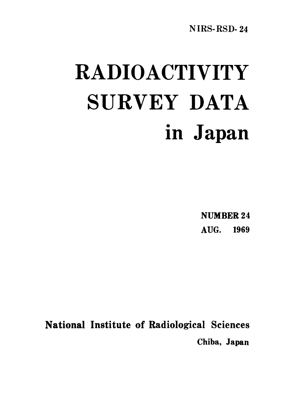NIRS-RSD-24

# **RADIOACTIVITY** SURVEY DATA in Japan

**NUMBER 24** AUG. 1969

National Institute of Radiological Sciences Chiba, Japan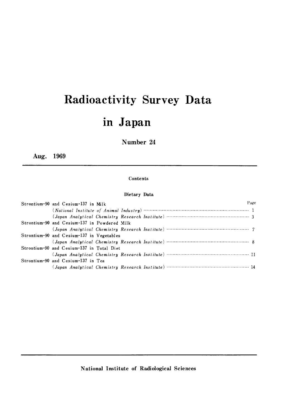## Radioactivity Survey Data in Japan

## Number 24

Aug. 1969

### Contents

## Dietary Data

| Strontium-90 and Cesium-137 in Milk                                   | Page |
|-----------------------------------------------------------------------|------|
|                                                                       |      |
|                                                                       |      |
| Strontium-90 and Cesium-137 in Powdered Milk                          |      |
|                                                                       |      |
| Strontium-90 and Cesium-137 in Vegetables                             |      |
|                                                                       |      |
| Strontium-90 and Cesium-137 in Total Diet                             |      |
| (Japan Analytical Chemistry Research Institute) ……………………………………………… 11 |      |
| Strontium-90 and Cesium-137 in Tea                                    |      |
|                                                                       |      |

National Institute of Radiological Sciences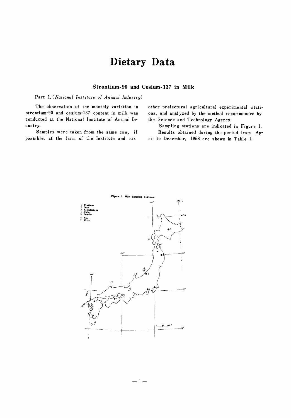## Dietary Data

## Strontium-90 and Cesium-137 in Milk

Part 1. (National Institute of Animal Industry)

The observation of the monthly variation in strontium-90 and cesium-137 content in milk was conducted at the National Institute of Animal Industry.

Samples were taken from the same cow, if possible, at the farm of the Institute and six

other prefectural agricultural experimental stations, and analyzed by the method recommended by the Science and Technology Agency.

Sampling stations are indicated in Figure 1. Results obtained during the period from Ap-

ril to December, 1968 are shown in Table 1.

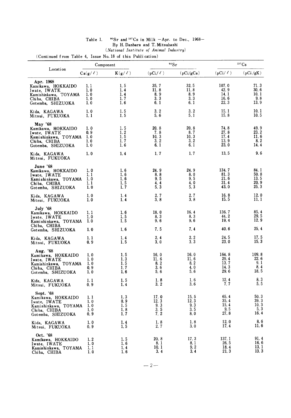## <sup>90</sup>Sr and <sup>137</sup>Cs in Milk -Apr. to Dec., 1968-<br>By H. Danbara and T. Mitsuhashi<br>(*National Institute of Animal Industry*) Table 1.

(Continued from Table 4, Issue No. 18 of this Publication)

|                                                                                                              | Component                         |                                                                 |                                     | 90Sr                               | 137Cs                                 |                                                                           |  |
|--------------------------------------------------------------------------------------------------------------|-----------------------------------|-----------------------------------------------------------------|-------------------------------------|------------------------------------|---------------------------------------|---------------------------------------------------------------------------|--|
| Location                                                                                                     | $Ca(g/\ell)$                      | $K(g/\ell)$                                                     | $(pCi/\ell)$                        | (pCi/gCa)                          | $(pCi/ \ell)$                         | (pCi/gK)                                                                  |  |
| Apr. 1968<br>Kamikawa, HOKKAIDO<br>Iwate, IWATE<br>Kamishinkawa, TOYAMA<br>Chiba, CHIBA<br>Gotemba, SHIZUOKA | 1.1<br>1.0<br>1.0<br>1.0<br>1.0   | 1, 5<br>1.4<br>1.4<br>1, 7<br>1.6                               | 35.7<br>11.8<br>8.9<br>3.3<br>6.1   | 32.5<br>11.8<br>8.9<br>3.3<br>6.1  | 107.0<br>42.9<br>14.1<br>16.6<br>22.3 | 71.3<br>30.6<br>10.1<br>9.8<br>13.9                                       |  |
| Kida, KAGAWA<br>Mitsui, FUKUOKA                                                                              | 1.0<br>1.1                        | 1.5<br>1.5                                                      | 3.2<br>5.6                          | 3.2<br>5.1                         | 15.1<br>15.8                          | 10.1<br>10.5                                                              |  |
| May '68<br>Kamikawa, HOKKAIDO<br>Iwate, IWATE<br>Kamishinkawa, TOYAMA<br>Chiba, CHIBA<br>Gotemba, SHIZUOKA   | 1.0<br>0. 9<br>1.0<br>1.0<br>1.0  | 1.5<br>$\begin{array}{c} 1.2 \\ 1.5 \end{array}$<br>1, 7<br>1,6 | 20.8<br>7.8<br>10, 3<br>3, 2<br>6.1 | 20.8<br>8.7<br>10.3<br>3.2<br>6.1  | 74.8<br>27.8<br>17.4<br>13.9<br>23.0  | 49.9<br>23.2<br>11.6<br>8.2<br>14.4                                       |  |
| Kida, KAGAWA<br>Mitsui, FUKUOKA                                                                              | 1.0                               | 1.4                                                             | 1, 7                                | 1, 7                               | 13.5                                  | 9.6                                                                       |  |
| June '68<br>Kamikawa, HOKKAIDO<br>Iwate, IWATE<br>Kamishinkawa, TOYAMA<br>Chiba. CHIBA<br>Gotemba, SHIZUOKA  | 1. O<br>1.1<br>1.0<br>1, 1<br>1.0 | 1.6<br>1, 6<br>1.6<br>1, 5<br>1.7                               | 24.9<br>8.8<br>9,5<br>4.4<br>5.3    | 24.9<br>8.0<br>9,5<br>4.0<br>5.3   | 134.7<br>81.3<br>21.6<br>31.4<br>43.0 | 84.1<br>50.8<br>13.5<br>20.9<br>25.3                                      |  |
| Kida, KAGAWA<br>Mitsui, FUKUOKA                                                                              | 1.0<br>1.0                        | 1,4<br>1.4                                                      | 2, 7<br>3.8                         | 2.7<br>3.8                         | 16.8<br>15.5                          | 12.0<br>11.1                                                              |  |
| July '68<br>Kamikawa, HOKKAIDO<br>Iwate, IWATE<br>Kamishinkawa, TOYAMA<br>Chiba, CHIBA                       | 1.1<br>1.0<br>1.0                 | 1,6<br>1.5<br>1, 5                                              | 18.0<br>8.3<br>9,6                  | 16.4<br>8.3<br>9.6                 | 136.7<br>44.2<br>19.4<br>40.6         | 85.4<br>29.5<br>12.9<br>25.4                                              |  |
| Gotemba, SHIZUOKA<br>Kida, KAGAWA<br>Mitsui, FUKUOKA                                                         | 1.0<br>1.1<br>0. 9                | 1,6<br>1.4<br>1.5                                               | 7.5<br>2, 4<br>3.0                  | 7.4<br>2, 2<br>3.3                 | 24.5<br><b>23.0</b>                   | 17.5<br>15, 3                                                             |  |
| Aug. '68<br>Kamikawa, HOKKAIDO<br>Iwate. IWATE<br>Kamishinkawa, TOYAMA<br>Chiba, CHIBA<br>Gotemba, SHIZUOKA  | 1.0<br>1.0<br>1,0<br>0. 9<br>1.0  | 1, 5<br>1.3<br>1.5<br>1.7<br>1.6                                | 16.0<br>11.6<br>8.2<br>3.6<br>5.6   | 16.0<br>11.6<br>8.2<br>4.0<br>5.6  | 164.8<br>29.4<br>13.7<br>14.3<br>29.6 | 109.8<br>22.6<br>9.1<br>8.4<br>18.5                                       |  |
| Kida, KAGAWA<br>Mitsui, FUKUOKA                                                                              | 1.1<br>0.9                        | 1.5<br>1.4                                                      | 1.8<br>$3.2$                        | 1,6<br>3, 6                        | 12.4<br>7, 7                          | 8.3<br>ხ. ხ                                                               |  |
| Sept. '68<br>Kamikawa, HOKKAIDO<br>Iwate, IWATE<br>Kamishinkawa, TOYAMA<br>Chiba, CHIBA<br>Gotemba, SHIZUOKA | 1, 1<br>1,0<br>1,0<br>1.0<br>0, 9 | 1.3<br>0.9<br>1.5<br>1.8<br>1.7                                 | 17.0<br>12.3<br>9.3<br>3.5<br>7.2   | 15, 5<br>12.3<br>9.3<br>3.5<br>8.0 | 65.4<br>35.4<br>15.4<br>9, 5<br>27.8  | $\begin{array}{c} 50.3 \\ 39.3 \end{array}$<br>$\frac{10.3}{5.3}$<br>16.4 |  |
| Kida, KAGAWA<br>Mitsui, FUKUOKA                                                                              | 1.0<br>0.9                        | 1.4<br>1.5                                                      | 1.8<br>2, 7                         | 1.8<br>3.0                         | 12.0<br>17.4                          | 8.6<br>11.6                                                               |  |
| Oct. '68<br>Kamikawa, HOKKAIDO<br>Iwate, IWATE<br>Kamishinkawa, TOYAMA<br>Chiba, CHIBA                       | 1.2<br>1.0<br>1, 1<br>1.0         | 1, 5<br>1, 6<br>1.4<br>1.6                                      | 20.8<br>8.1<br>10.1<br>3.4          | 17.3<br>8.1<br>9.2<br>3, 4         | 137.1<br>26.5<br>18.4<br>21.3         | 91.4<br>16.6<br>13.1<br>13.3                                              |  |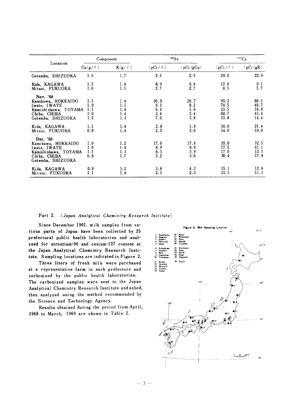|                                                                                                             | Component                       |                                 |                                  | 90Sr                             | 137Cs                                |                                      |  |
|-------------------------------------------------------------------------------------------------------------|---------------------------------|---------------------------------|----------------------------------|----------------------------------|--------------------------------------|--------------------------------------|--|
| Location                                                                                                    | $Ca(g/\ell)$                    | $K(g/\ell)$                     | $(pCi / \ell)$                   | (pCi/gCa)                        | $(pCi / \ell)$                       | (pCi/gK)                             |  |
| Gotemba, SHIZUOKA                                                                                           | 1.0                             | 1.7                             | 2.5                              | 2.5                              | 39.0                                 | 22.9                                 |  |
| Kida, KAGAWA<br>Mitsui, FUKUOKA                                                                             | 1.2<br>1.0                      | 1.4<br>1.5                      | 6.9<br>2.7                       | 5.8<br>2.7                       | 12.8<br>8.5                          | $\frac{9.1}{5.7}$                    |  |
| Nov. '68<br>Kamikawa, HOKKAIDO<br>Iwate, IWATE<br>Kamishinkawa, TOYAMA<br>Chiba, CHIBA<br>Gotemba, SHIZUOKA | 1.3<br>1.0<br>1.1<br>1.0<br>1.2 | 1.4<br>1.5<br>1.4<br>1.4<br>1.1 | 26.9<br>8.2<br>6.4<br>3.4<br>7.0 | 20.7<br>8.2<br>5.8<br>3.4<br>5.8 | 95.3<br>74.5<br>23.5<br>60.7<br>15.8 | 68.1<br>49.7<br>16.8<br>43.4<br>14.4 |  |
| Kida, KAGAWA<br>Mitsui, FUKUOKA                                                                             | 1.1<br>0.9                      | 1.4<br>1.4                      | $2.0$<br>$2.3$                   | 1.8<br>2.6                       | 30.0<br>14.0                         | 21.4<br>10.0                         |  |
| Dec. '68<br>Kamikawa, HOKKAIDO<br>Iwate, IWATE<br>Kamishinkawa, TOYAMA<br>Chiba, CHIBA<br>Gotemba, SHIZUOKA | 1.0<br>1.0<br>1.1<br>0.9        | 1.2<br>1.4<br>1.3<br>1.7        | 17.8<br>8.9<br>6.5<br>3.2        | 17.8<br>8.9<br>5.9<br>3.6        | 39.0<br>57.5<br>17.0<br>30.4         | 32.5<br>41.1<br>13.1<br>17.9         |  |
| Kida, KAGAWA<br>Mitsui, FUKUOKA                                                                             | 0.9<br>1.1                      | 1, 2<br>1.4                     | 3.8<br>2, 5                      | 4.2<br>2.3                       | 15.1<br>15.5                         | 12.6<br>11.1                         |  |

 $-3-$ 

#### Part 2. (Japan Analytical Chemistry Research Institute)

Since December 1961, milk samples from various parts of Japan have been collected by 25 prefectural public health laboratories and analyzed for strontium-90 and cesium-137 content at the Japan Analytical Chemistry Research Institute. Sampling locations are indicated in Figure 2.

Three liters of fresh milk were purchased at a representative farm in each prefecture and carbonized by the public health laboratories. The carbonized samples were sent to the Japan Analytical Chemistry Research Institute and ashed, then analyzed using the method recommended by the Science and Technology Agency.

Results obtained during the period from April, 1968 to March, 1969 are shown in Table 2.

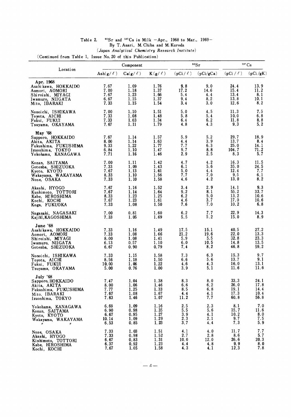## <sup>90</sup>Sr and <sup>137</sup>Cs in Milk -Apr., 1968 to Mar., 1969--<br>By T. Asari, M. Chiba and M. Kuroda Table 2.

 $\label{eq:an-ansatz} (Japan\ Analytical\ Chemistry\ Research\ Institute)$ 

(Continued from Table 1, Issue No. 20 of this Publication)

|                                                                                                                       | Component                             |                                      |                                      |                                   | 90Sr                               | $137 \text{Cs}$                      |                                      |  |
|-----------------------------------------------------------------------------------------------------------------------|---------------------------------------|--------------------------------------|--------------------------------------|-----------------------------------|------------------------------------|--------------------------------------|--------------------------------------|--|
| Location                                                                                                              | Ash $(g/\ell)$                        | $Ca(g/\ell)$                         | $K(g/\ell)$                          | $(pCi / \ell)$                    | (pCi/gCa)                          | $(pCi / \ell)$                       | (pCi/gK)                             |  |
| Apr. 1968<br>Asahi kawa, HOKKAIDO<br>Aomori, AOMORI<br>Shiroishi, MIYAGI<br>Iwamuro, NIIGATA<br>Mito, IBARAKI         | 7.67<br>7.00<br>7.67<br>6.67<br>7.33  | 1.09<br>1.18<br>1.23<br>1.15<br>1.15 | 1.76<br>1.37<br>1.66<br>1.37<br>1.54 | 9.8<br>17.2<br>5.4<br>9.4<br>3.4  | 9.0<br>14.6<br>4.4<br>8.2<br>3.0   | 24.4<br>15.4<br>13.4<br>13.8<br>12.6 | 13.9<br>11.2<br>8.1<br>10.1<br>8.2   |  |
| Nonoichi, ISHIKAWA<br>Toyota, AICHI<br>Fukui, FUKUI<br>Tsuyama, OKAYAMA                                               | 7.00<br>7.33<br>7.33<br>7.67          | 1.10<br>1.08<br>1.03<br>1.11         | 1.51<br>1.48<br>1.34<br>1.79         | 5.0<br>5.8<br>6.4<br>4.8          | 4.5<br>5.4<br>6.2<br>4.3           | 11.3<br>10.0<br>11.8<br>9.3          | 7.5<br>6.8<br>8.8<br>5.2             |  |
| May '68<br>Sapporo, HOKKAIDO<br>Akita, AKITA<br>Fukushima, FUKUSHIMA<br>Izuoshima, TOKYO<br>Yokohama, KANAGAWA        | 7.67<br>8.00<br>9.33<br>6.84<br>7.71  | 1.14<br>1.14<br>1.22<br>1.10<br>1.16 | 1.57<br>1.63<br>1.77<br>1.47<br>1.46 | 5.9<br>4.4<br>7.7<br>9.7<br>2.9   | 5.2<br>3.9<br>6.3<br>8.8<br>2.5    | 29.7<br>13.7<br>25.0<br>104.7<br>8.3 | 18.9<br>8.4<br>14.1<br>71.2<br>5.7   |  |
| Konan, SAITAMA<br>Gotenba, SHIZUOKA<br>Kyoto, KYOTO<br>Wakayama, WAKAYAMA<br>Nose, OSAKA                              | 7.00<br>7.33<br>7.67<br>8.33<br>7.33  | 1.11<br>1.09<br>1.13<br>1.10<br>1.10 | 1.42<br>1.43<br>1.61<br>1.56<br>1.58 | 4.7<br>6.1<br>5.0<br>7.7<br>4.6   | 4.2<br>5.6<br>4.4<br>7.0<br>4.2    | 16.3<br>35.0<br>12.4<br>9.5<br>13.0  | 11.5<br>24.5<br>7.7<br>6.1<br>8.2    |  |
| Akashi, HYOGO<br>Kushimoto, TOTTORI<br>Kabe, HI ROSHIMA<br>Kochi, KOCHI<br>Koga, FUKUOKA                              | 7.67<br>7.67<br>8.33<br>7.67<br>7.33  | 1.16<br>1.14<br>1.23<br>1.23<br>1.08 | 1.52<br>1.64<br>1.25<br>1.61<br>1.50 | 3.4<br>9.2<br>6.2<br>4.6<br>7.6   | 2.9<br>8.1<br>5.0<br>3.7<br>7.0    | 14.1<br>55.2<br>13.2<br>17.0<br>10.2 | 9.3<br>33.7<br>10.6<br>10.6<br>6.8   |  |
| Nagasaki, NAGASAKI<br>Kajiki, KAGOSHIMA                                                                               | 7.00<br>7.33                          | 0.81<br>1.05                         | 1.60<br>1.69                         | 6.2<br>5.5                        | 7.7<br>5.2                         | 22.9<br>15.0                         | 14.3<br>8.9                          |  |
| June '68<br>Asahikawa, HOKKAIDO<br>Aomori, AOMORI<br>Shiroishi, MIYAGI<br>Iwamuro, NIIGATA<br>Gotenba, SHIZUOKA       | 7.33<br>7.33<br>8.00<br>6.13<br>6.67  | 1.16<br>1.08<br>1.08<br>0.57<br>0.90 | 1.49<br>1.66<br>1.41<br>1.10<br>0.79 | 17.5<br>21.2<br>5.9<br>6.0<br>7.4 | 15.1<br>19.6<br>5.5<br>10.5<br>8.2 | 40.5<br>22.0<br>32.8<br>14.8<br>46.8 | 27.2<br>13.3<br>23.3<br>13.5<br>59.2 |  |
| Nonoichi, ISHIKAWA<br>Toyota, AICHI<br>Fukui, FUKUI<br>Tsuyama, OKAYAMA                                               | 7.33<br>8.56<br>10.00<br>5.00         | 1.15<br>1.18<br>1.06<br>0.76         | 1.58<br>1.50<br>1.22<br>1.00         | 7.3<br>6.6<br>4.6<br>3.9          | 6, 3<br>5.6<br>4.3<br>5.1          | 15.3<br>13.7<br>16.0<br>11.6         | 9.7<br>9.1<br>13.1<br>11.6           |  |
| July '68<br>Sapporo, HOKKAIDO<br>Akita, AKITA<br>Fukushima, FUKUSHIMA<br>Mito, IBARAKI<br>Izuoshima, TOKYO            | 7.47<br>8.00<br>7.77<br>7.67<br>7.83  | 1.04<br>1.06<br>1.25<br>1.08<br>1.46 | 1.38<br>1.46<br>1.33<br>1.67<br>1.07 | 8.3<br>6.6<br>8.5<br>4.4<br>11.2  | 8.0<br>6.2<br>6.8<br>4.1<br>7.7    | 33.3<br>26.0<br>19.1<br>17.3<br>60.8 | 24.1<br>17.8<br>14.4<br>10.4<br>56.8 |  |
| Yokohama, KANAGAWA<br>Konan, SAITAMA<br>Kyoto, KYOTO<br>Wakayama, WAKAYAMA<br>$\boldsymbol{\mu}$<br>$^{\prime\prime}$ | 6.69<br>6.90<br>6.67<br>10.14<br>6.53 | 1.09<br>0.98<br>0.95<br>1.09<br>0.85 | 1.16<br>1.35<br>1.27<br>1.29<br>1.23 | 2.5<br>5.5<br>3.9<br>2, 3<br>3.7  | 2.3<br>5.6<br>4.1<br>2.1<br>4.4    | 8.1<br>15.7<br>10.2<br>9.7<br>7.3    | 7.0<br>11.6<br>8.0<br>7.5<br>5.9     |  |
| Nose, OSAKA<br>Akashi, HYOGO<br>Kishimoto, TOTTORI<br>Kabe, HIROSHIMA<br>Kochi, KOCHI                                 | 7.33<br>7.33<br>6.67<br>6.37<br>7.67  | 1.03<br>0.98<br>0.83<br>0.92<br>1.05 | 1.51<br>1.52<br>1.31<br>1.23<br>1.58 | 4.1<br>2.7<br>10.0<br>4.4<br>4.3  | 4.0<br>2.8<br>12.0<br>4.8<br>4.1   | 11.7<br>8.6<br>26.6<br>9.9<br>12.3   | 7.7<br>5.7<br>20.3<br>8.0<br>7.8     |  |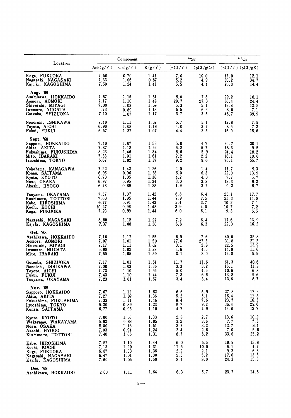|                                                                                                                 |                                      | Component                            |                                      |                                  | 90Sr                             | 137Cs                                |                                      |
|-----------------------------------------------------------------------------------------------------------------|--------------------------------------|--------------------------------------|--------------------------------------|----------------------------------|----------------------------------|--------------------------------------|--------------------------------------|
| Location                                                                                                        | Ash $(g/\ell)$                       | $Ca(g/\ell)$                         | $K(g/\ell)$                          | $(pCi / \ell)$                   | (pCi/gCa)                        | $(pCi / \ell)$ $(pCi / gK)$          |                                      |
| Koga, FUKUOKA                                                                                                   | 7.50                                 | 0.70                                 | 1.41                                 | 7.0                              | 10.0                             | 17.0                                 | 12.1                                 |
| Nagasaki, NAGASAKI                                                                                              | 7.33                                 | 1.06                                 | 0.87                                 | 5.2                              | 4.9                              | 30.2                                 | 34.7                                 |
| Kajiki, KAGOSHIMA                                                                                               | 7.50                                 | 1.24                                 | 1.41                                 | 5.5                              | 4.4                              | 20.3                                 | 14.4                                 |
| Aug. '68<br>Asahikawa, HOKKAIDO<br>Aomori, AOMORI<br>Shiroishi, MIYAGI<br>Iwamuro, NIIGATA<br>Gotenba, SHIZUOKA | 7.57<br>7.17<br>7.00<br>5.73<br>7.10 | 1.15<br>1.10<br>1.03<br>0.89<br>1.07 | 1.61<br>1.49<br>1.59<br>1.13<br>1.17 | 9.0<br>29.7<br>5.3<br>5.5<br>3.7 | 7.8<br>27.0<br>5.1<br>6.2<br>3.5 | 29.2<br>36.4<br>19.8<br>8.0<br>46.7  | 18.1<br>24.4<br>12.5<br>7.1<br>39.9  |
| Nonoichi, ISHIKAWA                                                                                              | 7.40                                 | 1.11                                 | 1.62                                 | 5.7                              | 5.1                              | 12.8                                 | 7.9                                  |
| Toyota, AICHI                                                                                                   | 6.90                                 | 1.08                                 | 1.18                                 | 4.0                              | 3.7                              | 8.5                                  | 7.2                                  |
| Fukui, FUKUI                                                                                                    | 6.57                                 | 1.27                                 | 1.07                                 | 4.4                              | 3, 5                             | 16.9                                 | 15.8                                 |
| Sept. '68<br>Sapporo, HOKKAIDO<br>Akita, AKITA<br>Fukushima, FUKUSHIMA<br>Mito, IBARAKI<br>Izuoshima, TOKYO     | 7.40<br>7.87<br>8.23<br>7.33<br>6.67 | 1.07<br>1.18<br>1.46<br>1.01<br>1.02 | 1.53<br>1.92<br>1.34<br>1.61<br>1.37 | 5.0<br>6.8<br>8.6<br>2.2<br>9.2  | 4.7<br>5.7<br>5.9<br>2.2<br>9.0  | 30.7<br>18.3<br>24.4<br>16.1<br>76.1 | 20.1<br>9.5<br>18.2<br>10.0<br>55, 7 |
| Yokohama, KANAGAWA                                                                                              | 7.22                                 | 1.42                                 | 1.26                                 | 2.0                              | 1.4                              | 11.7                                 | 9.3                                  |
| Konan, SAITAMA                                                                                                  | 6.95                                 | 0.96                                 | 1.58                                 | 6.0                              | 6.3                              | 22.0                                 | 13.9                                 |
| Kyoto, KYOTO                                                                                                    | 6.70                                 | 1.05                                 | 1.36                                 | 4.2                              | 4.0                              | 7.7                                  | 5.7                                  |
| Nose, OSAKA                                                                                                     | 6.97                                 | 0.95                                 | 1.34                                 | 3.0                              | 3, 2                             | 12.3                                 | 9.2                                  |
| Akashi, HYOGO                                                                                                   | 6.43                                 | 0.89                                 | 1.38                                 | 1.9                              | 2.1                              | 9.2                                  | 6.7                                  |
| Tsuyama, OKAYAMA                                                                                                | 7.37                                 | 1.07                                 | 1.42                                 | 6.8                              | 6:4                              | 25.1                                 | 17.7                                 |
| Kushimoto, TOTTORI                                                                                              | 7.00                                 | 1.05                                 | 1.44                                 | 7.9                              | 7.5                              | 21.3                                 | 14.8                                 |
| Kabe, HIROSHIMA                                                                                                 | 6.77                                 | 0.91                                 | 1.43                                 | 3.4                              | 3.7                              | 10.2                                 | 7.1                                  |
| Kochi, KOCHI                                                                                                    | 10.27                                | 0.98                                 | 1.48                                 | 3.9                              | 4.0                              | 10.7                                 | 7.2                                  |
| Koga, FUKUOKA                                                                                                   | 7.23                                 | 0.99                                 | 1.44                                 | 6.0                              | 6.1                              | 9,3                                  | 6.5                                  |
| Nagasaki, NAGASAKI                                                                                              | 6.80                                 | 1.12                                 | 1.27                                 | 7.2                              | 6.4                              | 17.6                                 | 13.9                                 |
| Kajiki, KAGOSHIMA                                                                                               | 7.37                                 | 1.08                                 | 1.36                                 | 6.8                              | 6.3                              | 22.0                                 | 16.2                                 |
| Oct. '68<br>Asahikawa, HOKKAIDO<br>Aomori, AOMORI<br>Shiroishi, MIYAGI<br>Iwamuro, NIIGATA<br>Mito, IBARAKI     | 7.10<br>7.07<br>7.17<br>6.90<br>7.50 | 1.17<br>1.01<br>1.11<br>1.02<br>1.05 | 1.55<br>1.50<br>1.62<br>1.28<br>1.50 | 8.9<br>27.6<br>3.1<br>4.6<br>3.1 | 7.6<br>27.3<br>2.8<br>4.5<br>3.0 | 40.0<br>31.8<br>22.5<br>14.8<br>14.8 | 25.8<br>21.2<br>13.9<br>11.6<br>9.9  |
| Gotenba, SHIZUOKA                                                                                               | 7.17                                 | 1.01                                 | 1.51                                 | 11.7                             | 11.6                             | 61.3                                 | 40.6                                 |
| Nonoichi, ISHIKAWA                                                                                              | 7.00                                 | 1.03                                 | 1.36                                 | 3.3                              | 3.2                              | 16.1                                 | 11.8                                 |
| Toyota, AICHI                                                                                                   | 7.73                                 | 1.10                                 | 1.55                                 | 5.0                              | 4.5                              | 10.6                                 | 6.8                                  |
| Fukui, FUKUI                                                                                                    | 7.43                                 | 1.10                                 | 1.44                                 | 7.3                              | $6.6$                            | 13.8                                 | 9.6                                  |
| Tsuyama, OKAYAMA                                                                                                | 7.23                                 | 1.01                                 | 1.57                                 | 3.4                              | 3.4                              | 13.6                                 | 8.7                                  |
| Nov. '68<br>Sapporo, HOKKAIDO<br>Akita, AKITA<br>Fukushima, FUKUSHIMA<br>I zuoshi ma, TOKYO<br>Konan, SAITAMA   | 7.67<br>7.27<br>7.33<br>6.20<br>6.77 | 1.12<br>1.02<br>1.11<br>0.89<br>0.95 | 1.62<br>1.36<br>1.46<br>1.23<br>1.10 | 6.6<br>5.2<br>8.4<br>8.2<br>4.7  | 5.9<br>5.1<br>7.6<br>9.2<br>4.9  | 27.8<br>15.4<br>23.7<br>36.4<br>14.0 | 17.2<br>11.3<br>16.3<br>29.6<br>12.7 |
| Kyoto, KYOTO                                                                                                    | 7.00                                 | 1.03                                 | 1.33                                 | 2.8                              | 2.7                              | 13.6                                 | 10.2                                 |
| Wakayama, WAKAYAMA                                                                                              | 5.92                                 | 0.88                                 | 1.05                                 | 3.2                              | 3.6                              | 7.7                                  | 7.3                                  |
| Nose, OSAKA                                                                                                     | 8.00                                 | 1.16                                 | 1.51                                 | 3.7                              | 3.2                              | 12.7                                 | 8,4                                  |
| Akashi, HYOGO                                                                                                   | 7.03                                 | 0.94                                 | 1.24                                 | 2.4                              | 2.6                              | 7.0                                  | 5.6                                  |
| Kishimo to, TOTTORI                                                                                             | 7.40                                 | 1.06                                 | 1.31                                 | 8.7                              | 8, 2                             | 33.0                                 | 25.2                                 |
| Kabe, HIROSHIMA                                                                                                 | 7.57                                 | 1.10                                 | 1.44                                 | 6.0                              | 5.5                              | 19.9                                 | 13.8                                 |
| Kochi, KOCHI                                                                                                    | 7.13                                 | 1.20                                 | 1.31                                 | 11.5                             | 10.0                             | 6.1                                  | 4.7                                  |
| Koga, FUKUOKA                                                                                                   | 6.87                                 | 1.03                                 | 1.36                                 | 2.2                              | 2.1                              | 9.2                                  | 6.8                                  |
| Nagasaki, NAGASAKI                                                                                              | 6.47                                 | 1.01                                 | 1.30                                 | 5.3                              | 5.2                              | 17.6                                 | 13.5                                 |
| Kajiki, KAGOSHIMA                                                                                               | 7.60                                 | 1.05                                 | 1.59                                 | 8.4                              | 8.0                              | 24.3                                 | 15.3                                 |
| Dec. '68<br>Asahikawa, HOKKAIDO                                                                                 | 7.60                                 | 1.11                                 | 1.64                                 | 6.3                              | 5.7                              | 23.7                                 | 14.5                                 |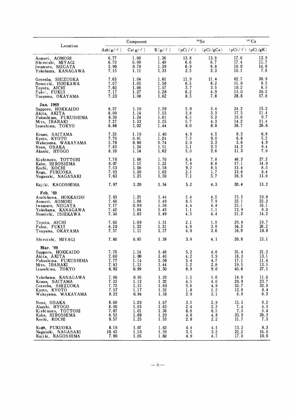|                                                                                                                    |                                      | Component                            |                                      |                                  | 90Sr                             |                                      | 137Cs                                   |
|--------------------------------------------------------------------------------------------------------------------|--------------------------------------|--------------------------------------|--------------------------------------|----------------------------------|----------------------------------|--------------------------------------|-----------------------------------------|
| Location                                                                                                           | Ash $(g/\ell)$                       | $Ca(g/\ell)$                         | $K(g/\ell)$                          | $(pCi / \ell)$                   | (pCi/gCa)                        | $(pCi / \ell)$ $(pCi / gK)$          |                                         |
| Aomori, AOMORI<br>Shiroishi, MIYAGI<br>Iwamuro, NIIGATA<br>Yokohama, KANAGAWA                                      | 6.77<br>6.70<br>5.90<br>7.15         | 1.00<br>0.99<br>0.78<br>1.11         | 1.36<br>1.49<br>1.29<br>1.33         | 13.8<br>6.6<br>6.9<br>2.5        | 13.8<br>6.7<br>8.8<br>2.3        | 17.6<br>17.4<br>18.0<br>10.1         | 12.9<br>11.7<br>14.0<br>7.6             |
| Gotenba, SHIZUOKA<br>Nonoichi, ISHIKAWA<br>Toyota, AICHI<br>Fuk <sub>y</sub> , FUKUI<br>Tsuyama, OKAYAMA           | 7.63<br>7.07<br>7.63<br>7.17<br>7.23 | 1.04<br>1.05<br>1.06<br>1.27<br>1.08 | 1.61<br>1.58<br>1.57<br>1.28<br>1.62 | 11.9<br>6.5<br>3.7<br>6.2<br>8.5 | 11.4<br>6.2<br>3.5<br>4.9<br>7.8 | 62.7<br>15.0<br>10.2<br>13.0<br>28.8 | 38.9<br>9.5<br>6.5<br>10.2<br>17.8      |
| Jan. 1969<br>Sapporo, HOKKAIDO<br>Akita, AKITA<br>Fukushima, FUKUSHIMA<br>Mito, IBARAKI<br>Izuoshima, TOKYO        | 8.37<br>8.00<br>8.30<br>7.37<br>6.86 | 1.10<br>1.14<br>1.24<br>1.33<br>1.02 | 1.59<br>1.53<br>1.61<br>1.25<br>1.44 | 5.9<br>3, 8<br>6.5<br>5.7<br>8.0 | 5.4<br>3.3<br>5.2<br>4.3<br>8.0  | 24.2<br>17.5<br>15.6<br>14.2<br>38.7 | 15.2<br>11.4<br>9,7<br>11.4<br>26.8     |
| Konan, SAITAMA<br>Kyoto, KYOTO<br>Wakayama, WAKAYAMA<br>Nose, OSAKA<br>Akashi, HYOGO                               | 7.33<br>7.70<br>5.78<br>7.83<br>8.10 | 1.10<br>0.81<br>0.86<br>1.24<br>1.14 | 1.40<br>1.24<br>0.74<br>1.51<br>1.62 | 4.9<br>7.3<br>2.0<br>3.1<br>3.0  | 4.5<br>9.0<br>2.3<br>2.5<br>2.6  | 9.3<br>6.8<br>3.6<br>14.2<br>11.3    | $6.6$<br>$5.5$<br>4.9<br>9.4<br>7.0     |
| Kishimoto, TOTTORI<br>Kabe, HIROSHIMA<br>Kochi, KOCHI<br>Koga, FUKUOKA<br>Nagasaki, NAGASAKI                       | 7.70<br>8.07<br>7.53<br>7.93<br>7.63 | 1.08<br>1.15<br>1.08<br>1.26<br>1.25 | 1.70<br>1.22<br>1.58<br>1.62<br>1.50 | 8.4<br>7.8<br>9.2<br>2.1<br>7.1  | 7.8<br>6.8<br>8.5<br>1.7<br>5.7  | 46.3<br>17.1<br>13.4<br>13.6<br>16.5 | 27.2<br>14.0<br>8.5<br>8.4<br>11.0      |
| Kajiki, KAGOSHIMA                                                                                                  | 7.97                                 | 1.20                                 | 1.54                                 | 5.2                              | 4.3                              | 20.4                                 | 13.2                                    |
| Feb. '69<br>Asahi kawa, HOKKAIDO<br>Aomori, AOMORI<br>Iwamuro, NIIGATA<br>Yokohama, KANAGAWA<br>Nonoichi, ISHIKAWA | 7.83<br>7.60<br>7.17<br>7.42<br>7.50 | 1.21<br>1.08<br>0.99<br>1.04<br>1.03 | 1.44<br>1.49<br>1.56<br>1.43<br>1.49 | 5.4<br>8.5<br>4.4<br>1.1<br>4.5  | 4.5<br>7.9<br>4.4<br>1.1<br>4.4  | 15.5<br>33.1<br>25.1<br>12.9<br>21.2 | 10.8<br>22.2<br>16.1<br>9.0<br>14.2     |
| Toyota, AICHI<br>Fukui, FUKUI<br>Tsuyama, OKAYAMA                                                                  | 7.63<br>8.20<br>7.57                 | 1.09<br>1.22<br>1.11                 | 1.51<br>1.31<br>1.57                 | 2.1<br>4.8<br>4.0                | 1.9<br>3.9<br>3.6                | 29.8<br>34.3<br>16.9                 | 19.7<br>26.2<br>10.8                    |
| Shiroishi, MIYAGI                                                                                                  | 7.80                                 | 0.95                                 | 1.38                                 | 3.9                              | 4.1                              | 20.8                                 | 15.1                                    |
| Mar. '69<br>Sapporo, HOKKAIDO<br>Akita, AKITA<br>Fukushima. FUKUSHIMA<br>Mito, IBARAKI<br>Izuoshima, TOKYO         | 7.73<br>7.60<br>7.77<br>7.83<br>6.92 | 1.14<br>1.09<br>1.14<br>1.13<br>0.99 | 1.48<br>1.40<br>1.50<br>1.44<br>1.50 | 5.2<br>4.2<br>5.4<br>3.2<br>8.9  | 4.6<br>3.9<br>4.7<br>2.8<br>9.0  | 31.4<br>18.3<br>17.1<br>19.5<br>40.6 | 21.2<br>13.1<br>11.4<br>13.5<br>27.1    |
| Yokohama, KANAGAWA<br>Konan, SAITAMA<br>Gotenba, SHIZUOKA<br>Kyoto, KYOTO<br>Wakayama, WAKAYAMA                    | 7.06<br>7.33<br>7.73<br>7.57<br>8.22 | 0.95<br>1.12<br>1.15<br>1.17<br>0.94 | 1.29<br>1.22<br>1.60<br>1.52<br>1.10 | 1.5<br>4.5<br>5.6<br>1.8<br>2.9  | 1.6<br>4.0<br>4.9<br>1.5<br>3.1  | 14.9<br>28.9<br>52.7<br>12.8<br>6.9  | 11.6<br>23.7<br>32.9<br>8.4<br>6.3      |
| Nose, OSAKA<br>Akashi, HYOGO<br>Kishimoto, TOTTORI<br>Kabe, HIROSHIMA<br>Kochi, KOCHI                              | 8.60<br>8.00<br>7.07<br>8.53<br>9.57 | 1.20<br>1.05<br>1.01<br>1.09<br>1.25 | 1.67<br>1.63<br>1.36<br>1.29<br>1.55 | 3.5<br>2.4<br>6.6<br>4.8<br>2.8  | 2.9<br>2, 3<br>6.5<br>4.8<br>2.2 | 15.3<br>7.4<br>7.3<br>33.9<br>11.7   | 9.2<br>4.5<br>5.4<br>$\frac{26.3}{7.5}$ |
| Koga, FUKUOKA<br>Nagasaki, NAGASAKI<br>Kajiki, KAGOSHIMA                                                           | 8.10<br>10.43<br>7.90                | 1.07<br>1.10<br>1.05                 | 1.63<br>1.59<br>1.60                 | 4.4<br>3.5<br>4.9                | 4.1<br>3, 2<br>4.7               | 13.5<br>22.2<br>17.0                 | 8.3<br>14.0<br>10.6                     |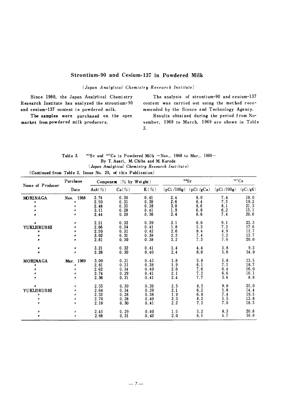## Strontium-90 and Cesium-137 in Powdered Milk

(Japan Analytical Chemistry Research Institute)

Since 1960, the Japan Analytical Chemistry Research Institute has analyzed the strontium-90 and cesium-137 content in powdered milk.

The samples were purchased on the open market from powdered milk producers.

The analysis of strontium-90 and cesium-137 content was carried out using the method recommended by the Sience and Technology Agency.

Results obtained during the period from November, 1968 to March, 1969 are shown in Table 3.

| Table 3. | <sup>90</sup> Sr and <sup>137</sup> Cs in Powdered Milk $-Nov.$ , 1968 to Mar., 1969- |  |
|----------|---------------------------------------------------------------------------------------|--|
|          | By T. Asari, M. Chiba and M. Kuroda                                                   |  |
|          | (Japan Analytical Chemistry Research Institute)                                       |  |

(Continued from Table 2, Issue No. 20, of this Publication)

|                  | Purchase          | Component $(\%$ by Weight) |                      |                  |              | 90Sr      | 137Cs        |          |  |
|------------------|-------------------|----------------------------|----------------------|------------------|--------------|-----------|--------------|----------|--|
| Name of Producer | Date              | $\text{Ash}(\%)$           | $Ca(\%)$             | $K(\mathcal{C})$ | (pCi / 100g) | (pCi/gCa) | (pCi / 100g) | (pCi/gK) |  |
| MORINAGA         | Nov. 1968         | 2.74                       | 0.30                 | 0.41             | 2.4          | 8.0       | 7.4          | 18.0     |  |
|                  | Ħ                 | 2.50                       | 0.31                 | 0.39             | 2.6          | 8.4       | 7.5          | 19.2     |  |
|                  | n                 | 2.48                       | 0.35                 | 0.38             | 3.0          | 8.6       | 8.1          | 21.3     |  |
|                  | n                 | 3.11                       | 0.28                 | 0.41             | 1.9          | 6.8       | 6.2          | 15.1     |  |
|                  | Ħ                 | 2.44                       | 0.28                 | 0.36             | 2.4          | 8.6       | 7.4          | 20.6     |  |
| ø                | Ħ                 | 2.51                       | 0.32                 | 0.39             | 2.1          | 6.6       | 9.1          | 23.3     |  |
| YUKIJIRUSHI      | Ħ                 | 2.66                       | 0.34                 | 0.41             | 1.8          | 5.3       | 7.2          | 17.6     |  |
| n                | Ħ                 | 2.50                       | 0.31                 | 0.42             | 2.6          | 8.4       | 4.9          | 11.7     |  |
| Ħ                | Ħ                 | 3.02                       | 0.31                 | 0.38             | 2.3          | 7.4       | 5.2          | 13.7     |  |
|                  | Ħ                 | 2.81                       | 0.30                 | 0.38             | 2.2          | 7.3       | 7.6          | 20.0     |  |
|                  | Ħ                 | 3.21                       | 0.32                 | 0.41             | 1.4          | 4.4       | 3.8          | 9.3      |  |
| Ħ                | $\boldsymbol{n}$  | 2.28                       | 0.30                 | 0.40             | 2.4          | 8.0       | 5.6          | 14.0     |  |
| MORINAGA         | Mar. 1969         | 3.00                       | 0.31                 | 0.43             | 1.8          | 5.8       | 5.8          | 13.5     |  |
| Ħ                | H                 | 2.81                       | 0.31                 | 0.38             | 1.9          | 6.1       | 7.1          | 18.7     |  |
| Ħ                | n                 | 2.62                       | 0.34                 | 0.40             | 2.6          | 7.6       | 6.4          | 16.0     |  |
| n                | Ħ                 | 2.74                       | 0.29                 | 0.41             | 2.1          | 7.2       | 6.6          | 16.1     |  |
| Ħ                | n                 | 2.36                       | 0.31                 | 0.41             | 2.4          | 7.7       | 3.6          | 8.8      |  |
|                  | Ħ                 | 2.55                       | 0.30                 | 0.36             | 2.5          | 8.3       | 9.0          | 25.0     |  |
| YUKIJIRUSHI      | Ħ                 | 2.64                       | 0.34                 | 0.39             | 2.1          | 6.2       | 5.6          | 14.4     |  |
| Ħ                | Ħ                 | 2.33                       | 0.28                 | 0.38             | 1.9          | 6.8       | 7.4          | 19.5     |  |
| Ħ                | Ħ                 | 2.70                       | 28<br>$\mathbf{0}$ . | 0.40             | 2.3          | 8, 2      | 5.5          | 13.8     |  |
| $\boldsymbol{n}$ | Ħ                 | 2.18                       | 0.30                 | 0.41             | 2.2          | 7.3       | 7.6          | 18.5     |  |
| $\boldsymbol{H}$ | $^{\prime\prime}$ | 2.45                       | 0.29                 | 0.40             | 1.5          | 5.2       | 8.3          | 20.8     |  |
| n                | Ħ                 | 2.68                       | 0.31                 | 0.43             | 2.0          | 6.5       | 4.7          | 10.9     |  |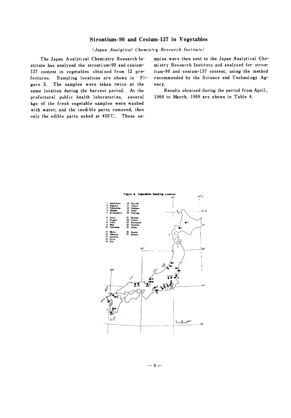## Strontium-90 and Cesium-137 in Vegetables

(Japan Analytical Chemistry Research Institute)

The Japan Analytical Chemistry Research Institute has analyzed the strontium-90 and cesium-137 content in vegetables obtained from 12 prefectures. Sampling locations are shown in Fi-The samples were taken twice at the gure 3. same location during the harvest period. At the prefectural public health laboratories, several kgs of the fresh vegetable samples were washed with water, and the inedible parts removed, then only the edible parts ashed at 450°C. These samples were then sent to the Japan Analytical Chemistry Research Institute and analyzed for strontium-90 and cesium-137 content, using the method recommended by the Science and Technology Agency.

Results obtained during the period from April, 1968 to March, 1969 are shown in Table 4.



 $-8-$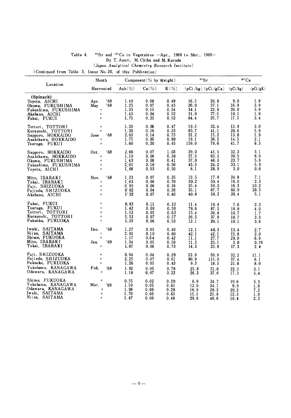|                                                                                                          | Month                                                                                                                |                                                 | Component $(\%$ by Weight)           |                                      |                                       | $\rm ^{90}Sr$                           | $137 \text{Cs}$                      |                                   |  |
|----------------------------------------------------------------------------------------------------------|----------------------------------------------------------------------------------------------------------------------|-------------------------------------------------|--------------------------------------|--------------------------------------|---------------------------------------|-----------------------------------------|--------------------------------------|-----------------------------------|--|
| Location                                                                                                 | Harvested                                                                                                            | Ash $(\%)$                                      | $Ca(\%)$                             | $K(\mathscr{Y}_o)$                   |                                       | $(pCi / kg)$ $(pCi / gCa)$ $(pCi / kg)$ |                                      | (pCi/gK)                          |  |
| (Spinach)<br>Toyota, AICHI<br>Okuma, FUKUSHIMA<br>Fukushima, FUKUSHIMA<br>Akabane, AICHI<br>Fukui, FUKUI | .68<br>Apr.<br>168<br>May<br>$\boldsymbol{\eta}$<br>$\boldsymbol{\eta}$<br>$\boldsymbol{\eta}$                       | 1.40<br>1.25<br>1.33<br>1.43<br>1.75            | 0.08<br>0.07<br>0.15<br>0.04<br>0.25 | 0.49<br>0.43<br>0.34<br>0.52<br>0.52 | 16.5<br>26.0<br>34.1<br>31.0<br>64.4  | 20.6<br>37.1<br>22.8<br>77.5<br>25.7    | 9.0<br>16.9<br>20.0<br>10.1<br>17.5  | 1.8<br>3.9<br>5.9<br>1.9<br>3.4   |  |
| Tottori, TOTTORI<br>Kurayoshi, TOTTORI<br>Sapporo, HOKKAIDO<br>Asahikawa, HOKKAIDO<br>Tsuruga, FUKUI     | $\boldsymbol{\eta}$<br>$\boldsymbol{\mu}$<br>.68<br>June<br>$\boldsymbol{\mathit{H}}$<br>$\boldsymbol{\mathcal{U}}$  | 1.30<br>1.30<br>2.03<br>1.75<br>1.60            | 0.06<br>0.16<br>0.14<br>0.05<br>0.20 | 0.47<br>0.35<br>0.73<br>0.69<br>0.45 | 19.5<br>65.7<br>21.2<br>19.1<br>159.0 | 32.4<br>41.1<br>15.2<br>38.2<br>79.6    | 13.9<br>20.6<br>13.8<br>14.5<br>41.7 | 3.0<br>5.9<br>1.9<br>2.1<br>9.3   |  |
| Sapporo, HOKKAIDO<br>Asahikawa, HOKKAIDO<br>Okuma, FUKUSHIMA<br>Fukushima, FUKUSHIMA<br>Toyota, AICHI    | 168<br>Oct.<br>$\boldsymbol{\eta}$<br>$\boldsymbol{n}$<br>$\boldsymbol{\eta}$<br>$\boldsymbol{n}$                    | 2.68<br>1.19<br>1 43<br>$2^{\degree}01$<br>1.08 | 0.07<br>0.06<br>0.08<br>0.18<br>0.03 | 1.03<br>0.38<br>0.41<br>0.56<br>0.50 | 29.0<br>37.3<br>37.0<br>43.5<br>8.1   | 41.5<br>62.2<br>46.3<br>24.2<br>26.9    | 32.3<br>30.5<br>23.7<br>33.1<br>3.0  | 3.1<br>8.0<br>5.8<br>5.9<br>0.6   |  |
| Mito, IBARAKI<br>Tokai, IBARAKI<br>Fuji, SHIZUOKA<br>Fujieda, SHIZUOKA<br>Akabane, AICHI                 | .68<br>Nov.<br>$\boldsymbol{n}$<br>$\pmb{\eta}$<br>$\boldsymbol{H}$<br>$\boldsymbol{\mathcal{U}}$                    | 1.23<br>$1^{\circ}63$<br>0.95<br>0.85<br>1.32   | 0.07<br>0.06<br>0.06<br>0.04<br>0.07 | 0.35<br>0.70<br>0.16<br>0.20<br>0.40 | 12.5<br>30.2<br>35.4<br>35.1<br>40.8  | 17.8<br>50.4<br>59.0<br>87.7<br>58.2    | 24.8<br>16.0<br>16.3<br>60.9<br>20.4 | 7.1<br>2.3<br>10.2<br>30.5<br>5.1 |  |
| Fukui, FUKUI<br>Tsuruga, FUKUI<br>Tottori, TOTTORI<br>Kurayoshi, TOTTORI<br>Fukuoka, FUKUOKA             | $\boldsymbol{H}$<br>$\boldsymbol{n}$<br>$\boldsymbol{\mathcal{U}}$<br>$\boldsymbol{\mathcal{H}}$<br>$\boldsymbol{n}$ | 0.83<br>1.42<br>1.53<br>1.53<br>1.35            | 0.11<br>0.09<br>0.05<br>0.07<br>0.06 | 0.33<br>0.50<br>0.63<br>0.57<br>0.53 | 11.4<br>78.6<br>15.4<br>26.5<br>12.1  | 10.4<br>87.3<br>30.8<br>37.8<br>20.1    | 7.6<br>19.8<br>10.7<br>18.7<br>19.1  | 2.3<br>4.0<br>1.7<br>3.3<br>3.6   |  |
| Iwaki, SAITAMA<br>Niiza, SAITAMA<br>Shime, FUKUOKA<br>Mito, IBARAKI<br>Tokai, IBARAKI                    | .68<br>Dec.<br>$^{\prime\prime}$<br>$\boldsymbol{\eta}$<br>.69<br>Jan.                                               | 1.27<br>2.03<br>1.17<br>1.34<br>1.87            | 0.03<br>0.10<br>0.04<br>0.05<br>0.06 | 0.49<br>0.80<br>0.42<br>0.50<br>0.73 | 12.1<br>42.1<br>11.1<br>11.5<br>14.3  | 40.3<br>42.1<br>27.7<br>23.1<br>23.8    | 13.4<br>15.8<br>29.0<br>3.8<br>17.3  | 2.7<br>2.0<br>6.9<br>0.76<br>2.4  |  |
| Fuji, SHIZUOKA<br>Fujieda, SHIZUOKA<br>Fukuoka, FUKUOKA<br>Yokohama, KANAGAWA<br>Odawara, KANAGAWA       | $\boldsymbol{\eta}$<br>$\boldsymbol{\eta}$<br>$\boldsymbol{n}$<br>Feb.<br>.69<br>$\boldsymbol{\eta}$                 | 0.94<br>2.25<br>1.26<br>1.92<br>1.18            | 0.04<br>0.07<br>0.05<br>0.05<br>0.07 | 0.29<br>0.61<br>0.43<br>0.78<br>0.32 | 23.9<br>80.9<br>9.3<br>25.8<br>26.3   | 59.9<br>115.0<br>18.5<br>51.6<br>37.6   | 32.2<br>37.4<br>21.6<br>22.3<br>17.3 | 11.1<br>6.1<br>8.0<br>3.1<br>5.4  |  |
| Shime, FUKUOKA<br>Yokohama, KANAGAWA<br>Odawara, KANAGAWA<br>Iwaki, SAITAMA<br>Niiza, SAITAMA            | $\boldsymbol{\eta}$<br>Mar.<br>'69<br>$\boldsymbol{\eta}$<br>$\boldsymbol{\eta}$<br>$\boldsymbol{\eta}$              | 0.55<br>1.59<br>1.08<br>1.70<br>1.47            | 0.02<br>0.05<br>0.06<br>0.06<br>0.06 | 0.20<br>0.61<br>0.28<br>0.65<br>0.46 | 6.9<br>12.0<br>16.9<br>15.5<br>29.8   | 34.7<br>24.1<br>28.2<br>25.8<br>49.6    | 10.6<br>9.9<br>20.2<br>12.5<br>10.4  | 5.3<br>1.6<br>7.2<br>1.9<br>2.3   |  |

#### $90^\circ$ Sr and  $137$ Cs in Vegetables -Apr., 1968 to Mar., 1969-Table 4. By T. Asari, M. Chiba and M. Kuroda  $\label{eq:an} (Japan\ Analytical\ Chemistry\ Research\ Institute)$

(Continued from Table 3, Issue No. 20, of this Publication)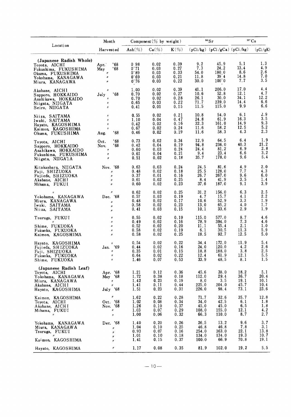|                                                                                                                               | Month                                                                                                                     |                                       | Component (% by weight)              |                                      |                                         | $90$ Sr                                         | $^{137}\mathrm{Cs}$                  |                                     |
|-------------------------------------------------------------------------------------------------------------------------------|---------------------------------------------------------------------------------------------------------------------------|---------------------------------------|--------------------------------------|--------------------------------------|-----------------------------------------|-------------------------------------------------|--------------------------------------|-------------------------------------|
| Location                                                                                                                      | Harvested                                                                                                                 | Ash $(\%)$                            | $Ca(\%)$                             | $K(\%)$                              |                                         | $(pCi/kg)$ $(pCi/gCa)$ $(pCi/kg)$               |                                      | (pCi/gK)                            |
| (Japanese Radish Whole)<br>Toyota, AICHI<br>Fukushima, FUKUSHIMA<br>Okuma, FUKUSHIMA<br>Yokohama, KANAGAWA<br>Miura, KANAGAWA | .68<br>Apr.<br>'68<br>May<br>$\boldsymbol{\eta}$<br>$\boldsymbol{\eta}$<br>$\boldsymbol{n}$                               | 098<br>0.71<br>0.88<br>0.69<br>0.76   | 0.02<br>0.03<br>0.03<br>0.03<br>0.03 | 0.39<br>0.27<br>0.33<br>0.21<br>0.22 | 9.2<br>7.3<br>54.0<br>11.8<br>30.0      | 45.9<br>24.2<br>180.0<br>$39^{\circ}4$<br>100.0 | 5,1<br>13.4<br>8.6<br>14.8<br>7.7    | 1.3<br>4.9<br>2.6<br>7.0<br>3.5     |
| Akabane, AICH1<br>Sapporo, HOKKAIDO<br>Asahi kawa, HOKKAIDO<br>Niigata, NIIGATA<br>Seiro, NIIGATA                             | 11<br>.68<br>July<br>$\pmb{\mathcal{H}}$<br>$\pmb{\mathcal{H}}$<br>$\boldsymbol{\eta}$                                    | 1.00<br>0.70<br>0.70<br>0.65<br>0.41  | 0.02<br>0.02<br>0.02<br>0.03<br>0.01 | 0.39<br>0.27<br>0.28<br>0.22<br>0.15 | 41.1<br>10.6<br>26.1<br>71.7<br>11.5    | 206.0<br>52.8<br>30.0<br>239.0<br>115.0         | 17.0<br>12.1<br>34.1<br>14.4<br>9.9  | 4.4<br>4.7<br>12.2<br>6.6<br>6.6    |
| Niiza, SAITAMA<br>Iwaki, SAITAMA<br>Hayato, KAGOSHIMA<br>Kaimon, KAGOSHIMA<br>Okuma, FUKUSHIMA                                | $\boldsymbol{H}$<br>$\eta$<br>$^{\prime\prime}$<br>$\boldsymbol{H}$<br>'68<br>Aug.                                        | 0.55<br>1.10<br>0.42<br>0.67<br>0.46  | 0.02<br>0.04<br>0.02<br>0.02<br>0.02 | 0.21<br>0.47<br>0.16<br>0.24<br>0.19 | 10.8<br>24.8<br>32.3<br>11.6<br>11.6    | 54.0<br>61.9<br>161.0<br>58.2<br>58.3           | 6.1<br>16.3<br>14.9<br>12.5<br>4.3   | 2.9<br>3.5<br>9.3<br>5.2<br>2.3     |
| Toyota, AICHI<br>Sapporo, HOKKAIDO<br>Asahikawa, HOKKAIDO<br>Fukushima, FUKUSHIMA<br>Niigata, NIIGA1A                         | '68<br>Oct.<br>'68<br>Nov.<br>$\boldsymbol{\eta}$<br>$\boldsymbol{\mathcal{U}}$<br>$\boldsymbol{\mathcal{H}}$             | 0.73<br>0.42<br>0.60<br>0.61<br>0.51  | 0.02<br>0.04<br>0.03<br>0.04<br>0.02 | 0.34<br>0.19<br>0.24<br>0.21<br>0.18 | 12.9<br>94.8<br>24.4<br>9.4<br>35.7     | 64.5<br>236.0<br>81.2<br>23.4<br>178.0          | 6.4<br>40.3<br>6.9<br>6.6<br>9.6     | 1.9<br>21.2<br>2.8<br>3.2<br>5.4    |
| Kitakanbara, NIIGATA<br>Fuji, SHIZUOKA<br>Fujieda, SHIZUOKA<br>Akabane, AICHI<br>Mihama, FUKUI                                | Nov. '68<br>$\boldsymbol{n}$<br>Ħ<br>$^{\prime\prime}$<br>Ħ                                                               | 0.63<br>0.48<br>0.37<br>0.61<br>0.60  | 0.03<br>0.02<br>0.01<br>0.02<br>0.02 | 0.24<br>0.18<br>0.16<br>0.25<br>0.23 | 24.5<br>25.5<br>26.7<br>8.4<br>37.6     | 81.6<br>128.0<br>267.0<br>41.9<br>187.0         | 4.9<br>7,7<br>9.6<br>3.5<br>9.1      | 2.0<br>4.3<br>6.0<br>1.4<br>3.9     |
| Yokohama, KANAGAWA<br>Miura, KANAGAWA<br>Iwaki, SAITAMA<br>Niiza, SAITAMA                                                     | $^{\prime\prime}$<br>Dec. '68<br>$\boldsymbol{n}$<br>$\boldsymbol{n}$<br>$\boldsymbol{\mu}$                               | 0.62<br>0.57<br>0.48<br>0.58<br>0.41  | 0.02<br>0.03<br>0.02<br>0.02<br>0.03 | 0.25<br>0.19<br>0.17<br>0.23<br>0.15 | 31.2<br>4.7<br>10.6<br>13.0<br>10.1     | 156.0<br>15.7<br>52.9<br>65.2<br>33.6           | 6, 3<br>4.1<br>3.3<br>4.0<br>2.9     | 2.5<br>2.2<br>1.9<br>1.7<br>1.9     |
| Tsuruga, FUKUI<br>$\boldsymbol{H}$<br>Shime, FUKUOKA<br>Fukuoka, FUKUOKA<br>Kaimon, KAGOSHIMA                                 | $\boldsymbol{\mathcal{H}}$<br>$\boldsymbol{n}$<br>$\boldsymbol{\mathit{H}}$<br>$\boldsymbol{\eta}$<br>$^{\prime\prime}$   | 0.55<br>0.49<br>0.52<br>0.58<br>0.58  | 0.02<br>0.02<br>0.02<br>0.02<br>0.02 | 0.19<br>0.16<br>0.20<br>0.19<br>0.25 | 115.0<br>78.9<br>11.1<br>6.1<br>18.5    | 577.0<br>394.0<br>55.4<br>30.5<br>92.7          | 8.7<br>7.3<br>2.1<br>11.3<br>12.5    | 4.6<br>4.6<br>1.0<br>5.9<br>5.0     |
| Hayato, KAGOSHIMA<br>Fujieda, SHIZUOKA<br>Fuji, SHIZUOKA<br>Fukuoka, FUKUOKA<br>Shime, FUKUOKA                                | $\boldsymbol{\eta}$<br>.69<br>Jan.<br>$\boldsymbol{\mathcal{H}}$<br>n<br>$\pmb{\eta}$                                     | 0, 54<br>0.44<br>0.35<br>0.64<br>1.46 | 0.02<br>0.02<br>0.01<br>0.02<br>0.07 | 0.22<br>0.16<br>0.15<br>0.22<br>0.53 | 34.4<br>24.0<br>18.8<br>12.4<br>33.9    | 172.0<br>120.0<br>188.0<br>61.9<br>48.5         | 11.9<br>4.2<br>3.8<br>12.1<br>8.1    | 5.4<br>2.6<br>2.5<br>5.5<br>1, 5    |
| (Japanese Radish Leaf)<br>Toyota, AICHI<br>Yokohama, KANAGAWA<br>Miura, KANAGAWA<br>Akabane, AICHI<br>Hayato, KAGOSHIMA       | Apr. '68<br>May '68<br>$\boldsymbol{H}$ .<br>$\mu$<br>July '68                                                            | 1.21<br>1.72<br>1.42<br>1.41<br>1.51  | 0.12<br>0.38<br>0.23<br>0.11<br>0.23 | 0.36<br>0.18<br>0.19<br>0.44<br>0.31 | 45.6<br>112.0<br>8.0<br>225.0<br>226.0  | 38.0<br>29.4<br>3.5<br>204.0<br>98.4            | 18.2<br>36.7<br>19.1<br>45.7<br>73.1 | 5.1<br>20.4<br>10.1<br>10.4<br>23.6 |
| Kaimon, KAGOSHIMA<br>Toyota, AICHI<br>Akabane, AICHI<br>Mihama, FUKUI<br>$\boldsymbol{\mathcal{B}}$                           | $\boldsymbol{\eta}$<br>Oct. '68<br>Nov. '68<br>$\boldsymbol{\mu}$<br>$\boldsymbol{\prime\prime}$                          | 1.62<br>1.02<br>1.26<br>1.03<br>1.00  | 0.22<br>0.08<br>0.10<br>0.07<br>0.06 | 0.28<br>0.34<br>0.37<br>0.29<br>0.32 | 71.7<br>34.0<br>45.0<br>108.0<br>66.3   | 32.6<br>42.5<br>45.0<br>155.0<br>110.0          | 35.7<br>6.1<br>6.5<br>12.1<br>8.7    | 12.8<br>1.8<br>1.8<br>4.2<br>2.7    |
| Yokohama, KANAGAWA<br>Miura, KANAGAWA<br>Tsuruga, FUKUI<br>$\boldsymbol{\eta}$<br>Kaimon, KAGOSHIMA                           | Dec. '68<br>$\boldsymbol{\mathcal{U}}$<br>$\boldsymbol{\mathcal{H}}$<br>$\boldsymbol{\mathcal{H}}$<br>$\boldsymbol{\eta}$ | 1.40<br>1.04<br>0.93<br>1.01<br>1.41  | 0.20<br>0.10<br>0.07<br>0.10<br>0.15 | 0.26<br>0.25<br>0.16<br>0.18<br>0.37 | 26.5<br>46.8<br>254.0<br>134.0<br>100.0 | 13.2<br>46.8<br>363.0<br>134.0<br>66.9          | 9.6<br>7.8<br>22.1<br>19.3<br>70.8   | 3.7<br>3.1<br>13.8<br>10.7<br>19.1  |
| Hayato, KAGOSHIMA                                                                                                             | $\boldsymbol{\mathcal{U}}$                                                                                                | 1.17                                  | 0.08                                 | 0.35                                 | 81.9                                    | 102.0                                           | 19.2                                 | 5.5                                 |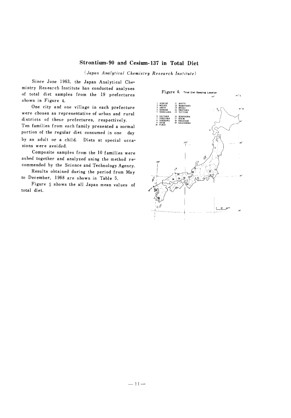## Strontium-90 and Cesium-137 in Total Diet

(Japan Analytical Chemistry Research Institute)

Since June 1963, the Japan Analytical Chemistry Research Institute has conducted analyses of total diet samples from the 19 prefectures shown in Figure 4.

One city and one village in each prefecture were chosen as representative of urban and rural districts of these prefectures, respectively.

Ten families from each family presented a normal portion of the regular diet consumed in one day by an adult or a child. Diets at special occasions were avoided.

Composite samples from the 10 families were ashed together and analyzed using the method recommended by the Science and Technology Agency.

Results obtained during the period from May to December, 1968 are shown in Table 5.

Figure 5 shows the all Japan mean values of total diet.

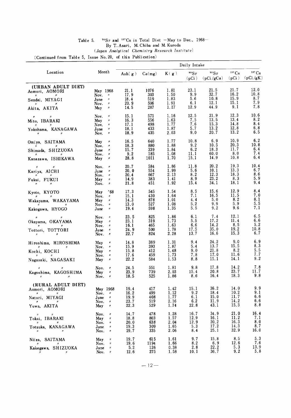| Table 5. |  | <sup>90</sup> Sr and <sup>137</sup> Cs in Total Diet -May to Dec., 1968- |  |
|----------|--|--------------------------------------------------------------------------|--|
|          |  | By T. Asari. M. Chiba and M. Kuroda                                      |  |
|          |  | (Japan Analytical Chemistry Research Institute)                          |  |

(*Japan Analytical Chemistry R*)<br>(*Continued from Table 5*, Issue No. 20, of this Publication)

|                                                                       |                                                               |              |             |              | Daily Intake           |                   |                          |                             |
|-----------------------------------------------------------------------|---------------------------------------------------------------|--------------|-------------|--------------|------------------------|-------------------|--------------------------|-----------------------------|
| Location                                                              | Month                                                         | Ash $(g)$    | Ca(mg)      | K(g)         | $\rm ^{90}Sr$<br>(pCi) | 90Sr<br>(pCi/gCa) | $137 \text{Cs}$<br>(pCi) | $137 \text{Cs}$<br>(pCi/gK) |
| (URBAN ADULT DIET)                                                    |                                                               |              |             | 1.81         | 23.1                   | 21.5              | 21.7                     | 12.0                        |
| Aomori, AOMORI<br>Ħ                                                   | May 1968<br>Nov.<br>$\pmb{\eta}$                              | 21.1<br>17.9 | 1076<br>303 | 1.50         | 9.9                    | 32.7              | 16.2                     | 10.8                        |
| Sendai, MIYAGI                                                        | June<br>$\boldsymbol{\mathit{H}}$<br>Nov.<br>$\pmb{\eta}$     | 18.4<br>20.9 | 519<br>506  | 1.83<br>1.91 | 5.6<br>6.1             | 10.8<br>12.1      | 15.9<br>15.1             | 8.7<br>7.9                  |
| Akita, AKITA                                                          | $\boldsymbol{\eta}$<br>May                                    | 14.5         | 287         | 1.17         | 12.9                   | 44.9              | 9.1                      | 7.8                         |
| $\boldsymbol{n}$<br>$\pmb{\mathcal{U}}$                               | Nov.<br>$\boldsymbol{n}$                                      | 15.1         | 571         | 1.16         | 12.5                   | 21.9              | 12.3                     | 10.6                        |
| Mito, IBARAKI<br>$\boldsymbol{\eta}$                                  | May<br>$\pmb{\mathcal{H}}$<br>Nov.<br>$\boldsymbol{n}$        | 16.3<br>17.1 | 556<br>498  | 1.63<br>1.77 | 7.5<br>7.6             | 13.5<br>15.3      | 13.4<br>14.8             | 8.2<br>8.4                  |
| Yokohama, KANAGAWA                                                    | June<br>$\pmb{\mathcal{U}}$<br>Nov.<br>$\pmb{\mathcal{H}}$    | 18.1<br>18.9 | 433<br>435  | 1.87<br>2.03 | 5.7<br>9.0             | 13.2<br>20.7      | 12.8<br>13.2             | 6.8<br>6.5                  |
| Omiya, SAITAMA                                                        | May<br>$\pmb{\mathcal{B}}$                                    | 16.5         | 640         | 1.77         | 10.8                   | 6.9               | 10.9                     | 6.2                         |
|                                                                       | Nov.<br>$\prime\prime$<br>$\boldsymbol{\mathit{H}}$           | 18.3<br>15.7 | 880<br>339  | 1.88<br>1.84 | 9.2<br>6.2             | 10.5<br>18.3      | 20.3<br>11.7             | 10.8<br>6.4                 |
| Shimada, SHIZUOKA<br>$\boldsymbol{\theta}$                            | June<br>Nov.<br>$\boldsymbol{\mathit{H}}$                     | 9.2          | 185         | 1.08         | 11.1                   | 60.0              | 8.0                      | 7.4                         |
| Kanazawa, ISHIKAWA                                                    | May<br>$\pmb{\eta}$                                           | 28.8         | 1011        | 1.70         | 15.1                   | 14.9              | 10.8                     | 6.4                         |
| $\boldsymbol{n}$<br>$\boldsymbol{\mathit{n}}$                         | Nov.<br>$\boldsymbol{n}$<br>June<br>$\boldsymbol{\mathit{H}}$ | 20.7<br>20.0 | 584<br>554  | 1.86<br>1.99 | 11.8<br>5.6            | 20.2<br>10.1      | 19.3<br>13.3             | 10.4<br>6.7                 |
| Kariya, AICHI                                                         | Nov.<br>$\boldsymbol{H}$                                      | 20.4         | 667         | 2.13         | 8.2                    | 12.3              | 18.3                     | 8.6                         |
| Fukui, FUKUI<br>$^{\prime\prime}$                                     | May<br>$\pmb{\eta}$<br>Nov.<br>$\pmb{\mathcal{H}}$            | 14.9<br>21.8 | 383<br>451  | 1.41<br>1.92 | 8.9<br>15.4            | 23.2<br>34.1      | 8.3<br>18.1              | 5.9<br>9.4                  |
| Kyoto, KYOTO                                                          | '68<br>May                                                    | 17.3         | 545         | 1.54         | 8.5                    | 15.6              | 12.9<br>11.5             | 8.4<br>7.0                  |
| $^{\prime\prime}$<br>Wakayama, WAKAYAMA                               | Nov.<br>$^{\prime\prime}$<br>May<br>$\pmb{\mathcal{H}}$       | 15.1<br>14.3 | 430<br>878  | 1.64<br>1.01 | 7.1<br>4.4             | 16.5<br>5.0       | 8.2                      | 8.1                         |
| Kakogawa, HYOGO                                                       | Nov.<br>$\pmb{\mathcal{H}}$<br>June<br>n                      | 13.0<br>19.4 | 527<br>598  | 1.08<br>1.35 | 5.2<br>5.5             | 9.9<br>9.2        | 5.9<br>9,6               | 5.5<br>7.1                  |
| $\boldsymbol{\mathcal{H}}$                                            | Nov.<br>$\pmb{\eta}$                                          | 23.5         | 825         | 1.86         | 6.1                    | 7.4               | 12.1                     | 6.5                         |
| Okayama, OKAYAMA                                                      | May<br>$\pmb{\mathcal{U}}$                                    | 23.1         | 319         | 1.73         | 5.5                    | 17.2              | 11.4                     | 6.6                         |
| $_{\prime\prime}$<br>Tottori, TOTTORI                                 | Nov.<br>$\pmb{\mathcal{H}}$<br>June<br>$\pmb{\mathcal{H}}$    | 16.1<br>24.9 | 465<br>500  | 1.63<br>1.78 | 6, 6<br>17.5           | 14.2<br>35.0      | 8.5<br>19.2              | 5.2<br>10.8                 |
| Ħ                                                                     | Nov.<br>$\pmb{\mathcal{H}}$                                   | 22.7         | 824         | 2.28         | 13.7                   | 16.6              | 15.3                     | 6.7                         |
| Hiroshima, HIROSHIMA                                                  | May<br>$\boldsymbol{\mathcal{H}}$                             | 14.8         | 389<br>393  | 1.31<br>1.87 | 9.4<br>5.4             | 24.2<br>13.7      | 9.0<br>15.5              | 6.9<br>8.3                  |
| Kochi, KOCHI                                                          | Nov.<br>$\pmb{\mathcal{H}}$<br>May<br>$\pmb{\mathcal{H}}$     | 15.9<br>15.8 | 412         | 1.48         | 9.0                    | 21.8              | 8.2                      | 5.5                         |
| $\boldsymbol{\eta}$<br>Nagasaki, NAGASAKI                             | Nov.<br>$\pmb{\mathcal{H}}$<br>May<br>$^{\prime\prime}$       | 17.6<br>22.2 | 459<br>584  | 1.73<br>1.53 | 7.8<br>8.8             | 17.0<br>15.1      | 11.6<br>14.1             | 7.7<br>9.2                  |
|                                                                       | $\boldsymbol{\mathcal{H}}$                                    | 24.5         | 551         | 1.81         | 9, 8                   | 17.8              | 14.2                     | 7.8                         |
| $\boldsymbol{\mathcal{U}}$<br>Kagoshima, KAGOSHIMA                    | Nov.<br>May<br>$\pmb{\mathcal{H}}$                            | 23.9         | 739         | 2.03         | 15.4                   | 20.8              | 23.7                     | 11.7                        |
| $^{\prime\prime}$<br>$\eta$                                           | Nov.<br>$\pmb{\pi}$                                           | 18.5         | 525         | 1.86         | 8.6                    | 16.4              | 18.3                     | 9.8                         |
| (RURAL ADULT DIET)<br>Aomori, AOMORI                                  | May 1968                                                      | 19.4         | 417         | 1.42         | 15.1                   | 36.2              | 14.0                     | 9.9                         |
| $\mathbf{n}$<br>Natori, MIYAGI                                        | Nov.<br>$\prime\prime$<br>June<br>$\pmb{\eta}$                | 16.2<br>19.9 | 499<br>408  | 1.12<br>1.77 | 9.2<br>6.1             | 18.4<br>15.0      | 10.2<br>11.7             | 9. 1<br>6.6                 |
| $\boldsymbol{\eta}$ and $\boldsymbol{\eta}$ and $\boldsymbol{\eta}$   | Nov.<br>$\boldsymbol{\mathcal{B}}$                            | 23.7         | 519         | 2.16         | 6.2                    | 11.9              | 14.2                     | 6.6<br>8.8                  |
| Yuwa, AKITA                                                           | May<br>$\pmb{n}$                                              | 22.3         | 529         | 1.74         | 22.8                   | 43.1              | 15.3                     |                             |
| $\boldsymbol{H}$<br>$\boldsymbol{\mathcal{H}}$<br>Tokai, IBARAKI      | Nov.<br>$\pmb{\eta}$<br>May<br>$\pmb{\eta}$                   | 14.7<br>18.8 | 478<br>803  | 1.28<br>1.57 | 16.7<br>12.9           | 34.9<br>16.1      | 21.0<br>11.2             | 16.4<br>7.1                 |
| $\boldsymbol{n}$<br>Ħ                                                 | Nov.<br>$\boldsymbol{\mathcal{H}}$                            | 20.0         | 638         | 2.04         | 12.9                   | 20.2              | 16.3                     | 8,0                         |
| Totsuka, KANAGAWA<br>$\boldsymbol{\pi}$<br>$\boldsymbol{\mathcal{H}}$ | June<br>$\boldsymbol{n}$<br>Nov.<br>$\pmb{\eta}$              | 19.3<br>19.7 | 309<br>335  | 1.65<br>2.06 | 5.3<br>8.4             | 17.2<br>25.1      | 14.3<br>32.9             | 8.7<br>16.0                 |
| Niiza, SAITAMA                                                        | May<br>$\pmb{\mathcal{U}}$                                    | 19.7         | 615         | 1.61         | 9.7                    | 15.8              | 8.5                      | 5.3                         |
| $^{\prime\prime}$<br>$^{\prime\prime}$<br>Kakegawa, SHIZUOKA          | Nov.<br>$\boldsymbol{\mathcal{H}}$<br>June<br>$\pmb{\eta}$    | 19.6<br>5.2  | 1194<br>126 | 1.66<br>0.38 | 8.2<br>2.8             | 6.9<br>22.2       | 12.6<br>5.3              | 7.6<br>13.9                 |
| $\boldsymbol{\mathcal{H}}$<br>$\boldsymbol{\mathcal{H}}$              | Nov.<br>$\pmb{\mathcal{U}}$                                   | 12.6         | 275         | 1.58         | 10.1                   | 36.7              | 9.2                      | 5.8                         |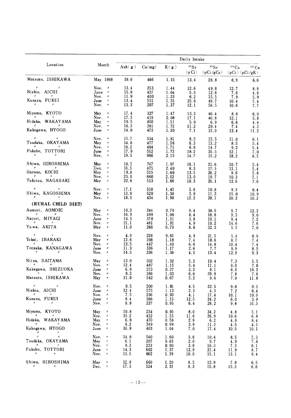|                                                                                           |                                                                         | Daily Intake |            |              |             |                                          |                                   |                          |  |
|-------------------------------------------------------------------------------------------|-------------------------------------------------------------------------|--------------|------------|--------------|-------------|------------------------------------------|-----------------------------------|--------------------------|--|
| Location                                                                                  | Month                                                                   | Ash $(g)$    | Ca(mg)     | K(g)         | 90Sr        |                                          | $90Sr$ $137Cs$<br>$137 \text{Cs}$ |                          |  |
|                                                                                           |                                                                         |              |            |              |             | $(p Ci)$ $(p Ci/gCa)$ $(pCi)$ $(pCi/gK)$ |                                   |                          |  |
| Matsuto, ISHIKAWA                                                                         | May 1968                                                                | 19.6         | 466        | 1.15         | 13.4        | 28.8                                     | 6.9                               | 6.0                      |  |
| $\mathbf{u}$                                                                              | Nov. $\pi$                                                              | 13.4         | 253        | 1.44         | 12.6        | 49.8                                     | 12.7                              | 8.8                      |  |
| Nishio, AICHI                                                                             | June $''$<br>Nov.<br>$\prime\prime$                                     | 15.9<br>11.9 | 437<br>400 | 1.64<br>1.33 | 5.5<br>6.2  | 12.6<br>15.5                             | 7.8<br>7.9                        | 4.8<br>5.9               |  |
| Kanazu, FUKUI                                                                             | June<br>$\pmb{\mu}$                                                     | 13.4         | 515        | 1.55         | 25.6        | 49.7                                     | 10.4                              | 7.4                      |  |
| $\boldsymbol{\mathcal{U}}$                                                                | Nov.<br>$\pmb{\eta}$                                                    | 13.3         | 207        | 1.37         | 12.1        | 58.5                                     | 10.6                              | 7.7                      |  |
| Miyama, KYOTO                                                                             | May<br>$\pmb{\mathcal{H}}$                                              | 17.4         | 327        | 1.47         | 13.2        | 40.4                                     | 8.8                               | 6.0                      |  |
| Hidaka, WAKAYAMA                                                                          | Nov.<br>$\pmb{\mathcal{H}}$<br>May<br>$\boldsymbol{\eta}$               | 17.3<br>19.5 | 419<br>850 | 2.08<br>1.51 | 17.1<br>5.9 | 40.8<br>6.9                              | 12.1<br>6.6                       | 5.8<br>4.4               |  |
| Kakogawa, HYOGO                                                                           | Nov.<br>$\boldsymbol{\mathcal{H}}$<br>$\pmb{\mathcal{H}}$               | 16.3<br>14.0 | 381<br>472 | 1.72         | 11.2        | 29.4                                     | 7.4                               | 4.3                      |  |
|                                                                                           | June                                                                    |              |            | 1.20         | 7.1         | 15.0                                     | 13.4                              | 11.2                     |  |
| $\boldsymbol{\mu}$<br>Tsudaka, OKAYAMA                                                    | Nov.<br>$\pmb{\mathcal{H}}$<br>May<br>$\pmb{\eta}$                      | 15.7<br>14.8 | 534<br>477 | 1.81<br>1.56 | 8.3         | 15.5                                     | 11.0                              | 6.1                      |  |
|                                                                                           | Nov.<br>$\prime\prime$                                                  | 18.2         | 464        | 1.71         | 6.3<br>6.8  | 13.2<br>14.7                             | 8.5<br>9.2                        | 5.4<br>5.4               |  |
| Fukube, TOTTORI                                                                           | June<br>$\pmb{\eta}$                                                    | 17.9         | 512        | 1.73         | 18.2        | 35.5                                     | 12.1                              | 7.0                      |  |
|                                                                                           | $\boldsymbol{\mathcal{H}}$<br>Nov.                                      | 19.1         | 966        | 2.15         | 14.7        | 15.2                                     | 18.2                              | 8.5                      |  |
| Shiwa, HIROSHIMA                                                                          | May<br>$\boldsymbol{n}$                                                 | 18.5         | 747        | 1.97         | 16.1        | 21.6                                     | 10.7                              | 5.4                      |  |
| Haruno, KOCHI                                                                             | $\boldsymbol{\mu}$<br>Dec.<br>May<br>$\boldsymbol{\eta}$                | 16.5<br>19.8 | 475<br>515 | 2.40<br>1.66 | 8.3<br>13.5 | 17.5<br>26.2                             | 13.1<br>9.6                       | 5.4<br>5.8               |  |
|                                                                                           | Nov.<br>$\boldsymbol{\mathit{H}}$                                       | 23.0         | 660        | 2.02         | 13.0        | 19.7                                     | 10.3                              | 5.1                      |  |
| Tokitsu, NAGASAKI                                                                         | May<br>$\boldsymbol{\mathit{H}}$                                        | 22.6         | 513        | 1.66         | 10.3        | 20.1                                     | 12.6                              | 7.6                      |  |
|                                                                                           | Nov.<br>$\boldsymbol{\mathcal{H}}$                                      | 17.1         | 518        | 1.45         | 5.6         | 10.8                                     | 9.3                               | 6.4                      |  |
| Shiwa, KAGOSHIMA<br>$\overline{y}$                                                        | May<br>$\boldsymbol{\mathcal{U}}$<br>Nov. $\sqrt{n}$                    | 13.9<br>18.1 | 520<br>434 | 1.38<br>1.98 | 5.9<br>12.2 | 11.3<br>28.1                             | 15.0<br>20.2                      | 10.9                     |  |
| (RURAL CHILD DIET)                                                                        |                                                                         |              |            |              |             |                                          |                                   | 10.2                     |  |
| Aomori, AOMORI                                                                            | May.<br>$^{\prime\prime}$                                               | 10.3         | 244        | 0.79         | 9.4         | 38.5                                     | 9,7                               | 12.3                     |  |
|                                                                                           | Nov.<br>$\boldsymbol{\mathit{H}}$                                       | 16.9         | 499        | 1.06         | 8.4         | 16.8                                     | 9.5                               | 9.0                      |  |
| Natori, MIYAGI                                                                            | June<br>$\boldsymbol{\mathcal{H}}$<br>$\pmb{\mathcal{H}}$               | 14.5         | 378        | 1.31         | 3.8         | 10.1                                     | 9.4                               | 7.2                      |  |
| Yuwa, AKITA                                                                               | Nov.<br>$\boldsymbol{\mathcal{H}}$<br>May                               | 21.1<br>11.0 | 481<br>266 | 1.91<br>0.79 | 4.9<br>8.6  | 10.2<br>32.3                             | 14.6<br>5.5                       | 7.6<br>7.0               |  |
| $\boldsymbol{\eta}$<br>$^{\prime\prime}$                                                  | Nov.<br>$\prime\prime$                                                  | 4.9          | 228        |              |             |                                          |                                   |                          |  |
| Tokai, IBARAKI                                                                            | May<br>$\boldsymbol{\mathcal{H}}$                                       | 13.6         | 398        | 0.61<br>1.18 | 4.9<br>7.4  | 21.5<br>18.6                             | 5.4<br>8.7                        | 8.9<br>7.4               |  |
|                                                                                           | Nov.<br>$\boldsymbol{\mathcal{B}}$                                      | 13.5         | 447        | 1.40         | 6.6         | 14.8                                     | 10.4                              | 7.4                      |  |
| Totsuka, KANAGAWA<br>$\boldsymbol{\eta}$                                                  | June<br>$\boldsymbol{\eta}$<br>Nov.<br>$\pmb{\eta}$                     | 11.9<br>14.5 | 336<br>336 | 1.17<br>1.38 | 2.6<br>4.5  | 7.7<br>13.4                              | 9.9<br>12.9                       | 8.5<br>9.3               |  |
|                                                                                           |                                                                         |              |            |              |             |                                          |                                   |                          |  |
| Niiza, SAITAMA<br>H                                                                       | May<br>$\boldsymbol{\eta}$<br>Nov.<br>$\pmb{\mathcal{H}}$               | 13.0<br>12.4 | 502<br>487 | 1.32<br>1.15 | 5.2<br>5.4  | 10.4<br>11.1                             | 7.3                               | 5.5                      |  |
| Kakegawa, SHIZUOKA                                                                        | June $\pi$                                                              | 6.8          | 273        | 0.37         | 2.2         | 8.1                                      | 9.0<br>6.0                        | 7.8<br>16.2              |  |
| Matsuto, ISHIKAWA                                                                         | Nov.<br>$\boldsymbol{\eta}$                                             | 8.3          | 166        | 1.03         | 6.6         | 39.8                                     | 7.8                               | 7.6                      |  |
|                                                                                           | $May$ "                                                                 | 11.0         | 542        | 0.67         | $5.2\,$     | 9.6                                      | 7.9                               | 11.8                     |  |
| $\mathcal{H} = \mathcal{H}$<br>$H$ and $H$                                                | Nov. $\theta$                                                           | 9.5          | 200        | 1,01         | 4.5         | 22.5                                     | 9.6                               | 9.5                      |  |
| Nishio, AICHI<br>$H^{\pm}$<br>$\boldsymbol{\mu}$                                          | June "<br>Nov.<br>$\boldsymbol{H}$                                      | 12.4<br>7.5  | 575<br>236 | 1.13<br>0.93 | 2.5<br>4.1  | 4.3<br>17.4                              | 7.2<br>10.1                       | 6.4<br>10.9 <sub>1</sub> |  |
| Kanazu, FUKUI                                                                             | June<br>$\boldsymbol{\mathcal{H}}$                                      | 8.4          | 366        | 1.15         | 12.5        | 34.2                                     | 6.0                               | 3, 9                     |  |
| $H$ and $H$<br>$\boldsymbol{\mu}$                                                         | Nov.<br>$\boldsymbol{\mathit{H}}$                                       | 8.8          | 227        | 0.95         | 6.4         | 28.2                                     | 9.8                               | 10.3                     |  |
| Miyama, KYOTO                                                                             | May<br>$\pmb{\mathcal{H}}$                                              | 10.8         | 234        | 0.95         | 8.0         | 34.2                                     | 4.8                               | 5.1                      |  |
| $H$ and $H$ and $H$<br>Hidaka, WAKAYAMA                                                   | Nov.<br>$\boldsymbol{\mathcal{H}}$<br>May.<br>$\boldsymbol{\mathit{H}}$ | 15.2<br>6.8  | 432<br>470 | 1.55<br>0.58 | 11.6<br>2.9 | 26.9<br>6.2                              | 10.6<br>4.9                       | 6.8<br>8.4               |  |
| $\eta$<br>$\mathcal{H}$                                                                   | Nov.<br>$\boldsymbol{\mathit{H}}$                                       | 8.2          | 349        | 0.99         | 3.9         | 11.2                                     | 4.5                               | 4.5                      |  |
| Kakogawa, HYOGO                                                                           | $\boldsymbol{\eta}$<br>June                                             | 10.9         | 403        | 1.04         | 7.0         | 17.4                                     | 10.5                              | 10.1                     |  |
| $\begin{array}{ccc} n & & n \\ n & & n \end{array}$<br>$\bar{\mu}$<br>$\boldsymbol{\eta}$ | Nov.<br>$\boldsymbol{\eta}$                                             | 14.8         | 540        | 1.60         | 5.6         | 10.4                                     | 8.5                               | 5.3                      |  |
| Tsudaka, OKAYAMA<br>$\boldsymbol{n}$ and $\boldsymbol{n}$ and $\boldsymbol{n}$            | May<br>$\boldsymbol{\mathit{II}}$<br>Nov.<br>$\boldsymbol{\mathcal{H}}$ | 6.1<br>8.3   | 207<br>233 | 0.63<br>0.90 | 2.0<br>3.8  | 9.7<br>16.3                              | 4.9<br>7.3                        | 7.8                      |  |
| Fukube, TOTTORI                                                                           | June<br>$\boldsymbol{\eta}$                                             | 14.3         | 602        | 1.37         | 12.9        | 21.4                                     | 11.9                              | 8.1<br>8.7               |  |
| $\boldsymbol{\eta}$<br>$^{\prime\prime}$                                                  | Nov.<br>$\boldsymbol{\mu}$                                              | 11.5         | 662        | 1.39         | 10.0        | 15.1                                     | 13.1                              | 9.4                      |  |
| Shiwa, HIROSHIMA                                                                          | May<br>$\boldsymbol{\mathit{II}}$                                       | 12.8         | 660        | 1.20         | 8.5         | 12.9                                     | 7.8                               | 6.5                      |  |
| #<br>H                                                                                    | $\eta$<br>Dec.                                                          | 17.3         | 524        | 2.31         | 8.3         | 15.8                                     | 15.3                              | 6.6                      |  |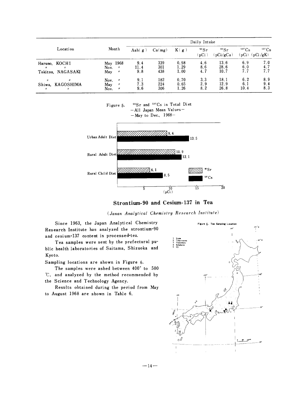| Location<br>Haruno, KOCHI<br>$^{\prime\prime}$<br>н<br>Tokitsu, NAGASAKI           |                                                                                    | Daily Intake       |                   |                      |                                 |                      |                          |                             |  |  |
|------------------------------------------------------------------------------------|------------------------------------------------------------------------------------|--------------------|-------------------|----------------------|---------------------------------|----------------------|--------------------------|-----------------------------|--|--|
|                                                                                    | Month                                                                              | Ash $(g)$          | Ca(mg)            | K(g)                 | $\rm ^{90}Sr$<br>$\mathbf{pCi}$ | 90Sr<br>(pCi/gCa)    | $137 \text{Cs}$<br>(pCi) | $137 \text{Cs}$<br>(pCi/gK) |  |  |
|                                                                                    | May 1968<br>Nov.<br>$\boldsymbol{\eta}$<br>May<br>$\boldsymbol{\eta}$              | 9.4<br>11.4<br>9.8 | 339<br>301<br>438 | 0.98<br>1.29<br>1.00 | 4.6<br>8.6<br>4.7               | 13.6<br>28.6<br>10.7 | 6.9<br>6.0<br>7.7        | 7.0<br>4.7<br>7.7           |  |  |
| $\boldsymbol{n}$<br>$^{\prime\prime}$<br>Shiwa, KAGOSHIMA<br>$\boldsymbol{n}$<br>n | Nov.<br>$^{\prime\prime}$<br>May<br>$^{\prime\prime}$<br>Nov.<br>$^{\prime\prime}$ | 9.1<br>7.3<br>9.6  | 182<br>224<br>306 | 0.70<br>0.65<br>1.26 | 3.3<br>2.9<br>8.2               | 18.1<br>12.9<br>26.8 | 6.2<br>6.1<br>10.4       | 8.9<br>9.4<br>8.3           |  |  |



Strontium-90 and Cesium-137 in Tea

(Janan Analytical Chemistry Research Institute)

Since 1963, the Japan Analytical Chemistry Research Institute has analyzed the strontium-90 and cesium-137 content in processed-tea.

Tea samples were sent by the prefectural public health laboratories of Saitama, Shizuoka and Kyoto.

Sampling locations are shown in Figure 6.

The samples were ashed between 400° to 500 °C, and analyzed by the method recommended by the Science and Technology Agency.

Results obtained during the period from May to August 1968 are shown in Table 6.



 $-14-$